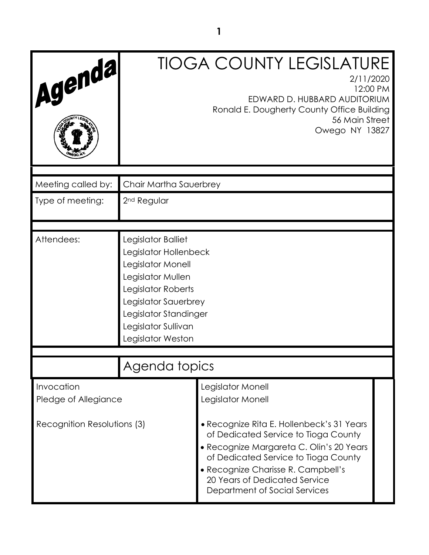| Agenda                             |                                                                                                                                                                                                          | <b>TIOGA COUNTY LEGISLATURE</b><br>2/11/2020<br>12:00 PM<br>EDWARD D. HUBBARD AUDITORIUM<br>Ronald E. Dougherty County Office Building<br>56 Main Street<br>Owego NY 13827                                                                                                    |  |
|------------------------------------|----------------------------------------------------------------------------------------------------------------------------------------------------------------------------------------------------------|-------------------------------------------------------------------------------------------------------------------------------------------------------------------------------------------------------------------------------------------------------------------------------|--|
| Meeting called by:                 | Chair Martha Sauerbrey                                                                                                                                                                                   |                                                                                                                                                                                                                                                                               |  |
| Type of meeting:                   | 2 <sup>nd</sup> Regular                                                                                                                                                                                  |                                                                                                                                                                                                                                                                               |  |
| Attendees:                         | Legislator Balliet<br>Legislator Hollenbeck<br>Legislator Monell<br>Legislator Mullen<br>Legislator Roberts<br>Legislator Sauerbrey<br>Legislator Standinger<br>Legislator Sullivan<br>Legislator Weston |                                                                                                                                                                                                                                                                               |  |
|                                    | Agenda topics                                                                                                                                                                                            |                                                                                                                                                                                                                                                                               |  |
| Invocation<br>Pledge of Allegiance |                                                                                                                                                                                                          | Legislator Monell<br>Legislator Monell                                                                                                                                                                                                                                        |  |
| Recognition Resolutions (3)        |                                                                                                                                                                                                          | • Recognize Rita E. Hollenbeck's 31 Years<br>of Dedicated Service to Tioga County<br>· Recognize Margareta C. Olin's 20 Years<br>of Dedicated Service to Tioga County<br>• Recognize Charisse R. Campbell's<br>20 Years of Dedicated Service<br>Department of Social Services |  |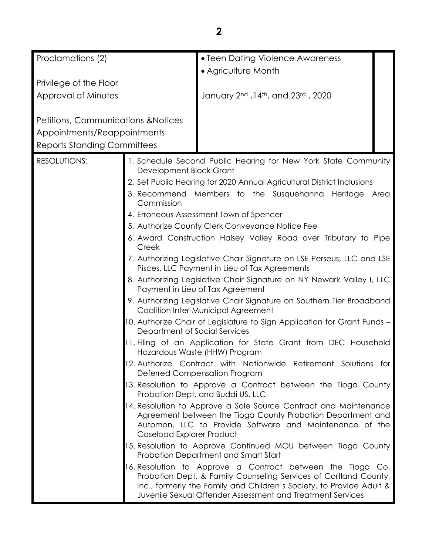| Proclamations (2)                                                                                                   |                                                                                                              | • Teen Dating Violence Awareness                                                                                                                                                                                                                                                                                                                                                                                                                                                                                                                                                                                                                                                                                                                                                                                                                                                                                                                                                                                                                                                                                                                                                                                                                                                                                                                                                                                                                                                                                                                                                                                                                                                                   |
|---------------------------------------------------------------------------------------------------------------------|--------------------------------------------------------------------------------------------------------------|----------------------------------------------------------------------------------------------------------------------------------------------------------------------------------------------------------------------------------------------------------------------------------------------------------------------------------------------------------------------------------------------------------------------------------------------------------------------------------------------------------------------------------------------------------------------------------------------------------------------------------------------------------------------------------------------------------------------------------------------------------------------------------------------------------------------------------------------------------------------------------------------------------------------------------------------------------------------------------------------------------------------------------------------------------------------------------------------------------------------------------------------------------------------------------------------------------------------------------------------------------------------------------------------------------------------------------------------------------------------------------------------------------------------------------------------------------------------------------------------------------------------------------------------------------------------------------------------------------------------------------------------------------------------------------------------------|
|                                                                                                                     |                                                                                                              | • Agriculture Month                                                                                                                                                                                                                                                                                                                                                                                                                                                                                                                                                                                                                                                                                                                                                                                                                                                                                                                                                                                                                                                                                                                                                                                                                                                                                                                                                                                                                                                                                                                                                                                                                                                                                |
| Privilege of the Floor                                                                                              |                                                                                                              |                                                                                                                                                                                                                                                                                                                                                                                                                                                                                                                                                                                                                                                                                                                                                                                                                                                                                                                                                                                                                                                                                                                                                                                                                                                                                                                                                                                                                                                                                                                                                                                                                                                                                                    |
| Approval of Minutes                                                                                                 |                                                                                                              | January 2nd , 14th, and 23rd, 2020                                                                                                                                                                                                                                                                                                                                                                                                                                                                                                                                                                                                                                                                                                                                                                                                                                                                                                                                                                                                                                                                                                                                                                                                                                                                                                                                                                                                                                                                                                                                                                                                                                                                 |
| <b>Petitions, Communications &amp; Notices</b><br>Appointments/Reappointments<br><b>Reports Standing Committees</b> |                                                                                                              |                                                                                                                                                                                                                                                                                                                                                                                                                                                                                                                                                                                                                                                                                                                                                                                                                                                                                                                                                                                                                                                                                                                                                                                                                                                                                                                                                                                                                                                                                                                                                                                                                                                                                                    |
| <b>RESOLUTIONS:</b>                                                                                                 | Development Block Grant<br>Commission<br>Creek<br>Department of Social Services<br>Caseload Explorer Product | 1. Schedule Second Public Hearing for New York State Community<br>2. Set Public Hearing for 2020 Annual Agricultural District Inclusions<br>3. Recommend Members to the Susquehanna Heritage Area<br>4. Erroneous Assessment Town of Spencer<br>5. Authorize County Clerk Conveyance Notice Fee<br>6. Award Construction Halsey Valley Road over Tributary to Pipe<br>7. Authorizing Legislative Chair Signature on LSE Perseus, LLC and LSE<br>Pisces, LLC Payment in Lieu of Tax Agreements<br>8. Authorizing Legislative Chair Signature on NY Newark Valley I, LLC<br>Payment in Lieu of Tax Agreement<br>9. Authorizing Legislative Chair Signature on Southern Tier Broadband<br>Coalition Inter-Municipal Agreement<br>10. Authorize Chair of Legislature to Sign Application for Grant Funds -<br>11. Filing of an Application for State Grant from DEC Household<br>Hazardous Waste (HHW) Program<br>12. Authorize Contract with Nationwide Retirement Solutions for<br>Deferred Compensation Program<br>13. Resolution to Approve a Contract between the Tioga County<br>Probation Dept. and Buddi US, LLC<br>14. Resolution to Approve a Sole Source Contract and Maintenance<br>Agreement between the Tioga County Probation Department and<br>Automon, LLC to Provide Software and Maintenance of the<br>15. Resolution to Approve Continued MOU between Tioga County<br>Probation Department and Smart Start<br>16. Resolution to Approve a Contract between the Tioga Co.<br>Probation Dept. & Family Counseling Services of Cortland County,<br>Inc., formerly the Family and Children's Society, to Provide Adult &<br>Juvenile Sexual Offender Assessment and Treatment Services |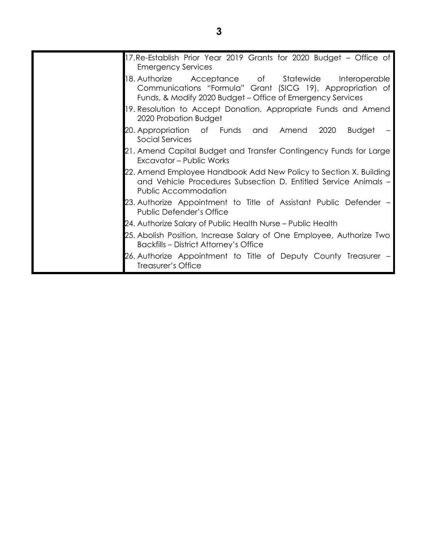| 17. Re-Establish Prior Year 2019 Grants for 2020 Budget – Office of<br><b>Emergency Services</b>                                                                                            |
|---------------------------------------------------------------------------------------------------------------------------------------------------------------------------------------------|
| 18. Authorize    Acceptance    of    Statewide    Interoperable<br>Communications "Formula" Grant (SICG 19), Appropriation of<br>Funds, & Modify 2020 Budget – Office of Emergency Services |
| 19. Resolution to Accept Donation, Appropriate Funds and Amend<br>2020 Probation Budget                                                                                                     |
| 20. Appropriation of Funds and Amend 2020<br>Budget<br>Social Services                                                                                                                      |
| 21. Amend Capital Budget and Transfer Contingency Funds for Large<br>Excavator - Public Works                                                                                               |
| 22. Amend Employee Handbook Add New Policy to Section X. Building<br>and Vehicle Procedures Subsection D. Entitled Service Animals -<br>Public Accommodation                                |
| 23. Authorize Appointment to Title of Assistant Public Defender –<br><b>Public Defender's Office</b>                                                                                        |
| 24. Authorize Salary of Public Health Nurse – Public Health                                                                                                                                 |
| 25. Abolish Position, Increase Salary of One Employee, Authorize Two<br><b>Backfills - District Attorney's Office</b>                                                                       |
| 26. Authorize Appointment to Title of Deputy County Treasurer -<br>Treasurer's Office                                                                                                       |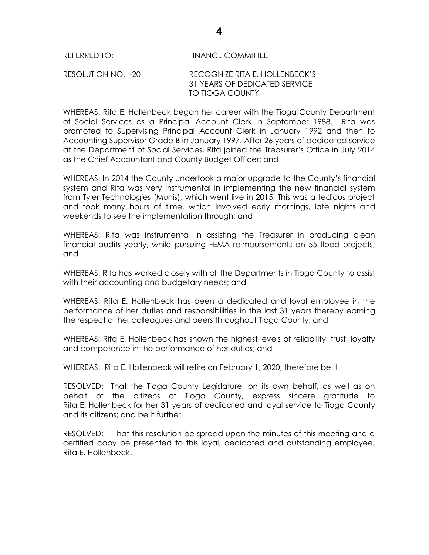# REFERRED TO: FINANCE COMMITTEE RESOLUTION NO. -20 RECOGNIZE RITA E. HOLLENBECK'S 31 YEARS OF DEDICATED SERVICE TO TIOGA COUNTY

WHEREAS: Rita E. Hollenbeck began her career with the Tioga County Department of Social Services as a Principal Account Clerk in September 1988. Rita was promoted to Supervising Principal Account Clerk in January 1992 and then to Accounting Supervisor Grade B in January 1997. After 26 years of dedicated service at the Department of Social Services, Rita joined the Treasurer's Office in July 2014 as the Chief Accountant and County Budget Officer; and

WHEREAS: In 2014 the County undertook a major upgrade to the County's financial system and Rita was very instrumental in implementing the new financial system from Tyler Technologies (Munis), which went live in 2015. This was a tedious project and took many hours of time, which involved early mornings, late nights and weekends to see the implementation through; and

WHEREAS: Rita was instrumental in assisting the Treasurer in producing clean financial audits yearly, while pursuing FEMA reimbursements on 55 flood projects; and

WHEREAS: Rita has worked closely with all the Departments in Tioga County to assist with their accounting and budgetary needs; and

WHEREAS: Rita E. Hollenbeck has been a dedicated and loyal employee in the performance of her duties and responsibilities in the last 31 years thereby earning the respect of her colleagues and peers throughout Tioga County; and

WHEREAS: Rita E. Hollenbeck has shown the highest levels of reliability, trust, loyalty and competence in the performance of her duties; and

WHEREAS: Rita E. Hollenbeck will retire on February 1, 2020; therefore be it

RESOLVED:That the Tioga County Legislature, on its own behalf, as well as on behalf of the citizens of Tioga County, express sincere gratitude to Rita E. Hollenbeck for her 31 years of dedicated and loyal service to Tioga County and its citizens; and be it further

RESOLVED: That this resolution be spread upon the minutes of this meeting and a certified copy be presented to this loyal, dedicated and outstanding employee, Rita E. Hollenbeck.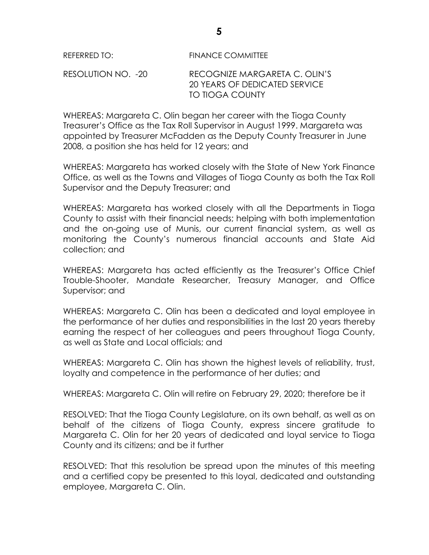RESOLUTION NO. -20 RECOGNIZE MARGARETA C. OLIN'S 20 YEARS OF DEDICATED SERVICE TO TIOGA COUNTY

WHEREAS: Margareta C. Olin began her career with the Tioga County Treasurer's Office as the Tax Roll Supervisor in August 1999. Margareta was appointed by Treasurer McFadden as the Deputy County Treasurer in June 2008, a position she has held for 12 years; and

WHEREAS: Margareta has worked closely with the State of New York Finance Office, as well as the Towns and Villages of Tioga County as both the Tax Roll Supervisor and the Deputy Treasurer; and

WHEREAS: Margareta has worked closely with all the Departments in Tioga County to assist with their financial needs; helping with both implementation and the on-going use of Munis, our current financial system, as well as monitoring the County's numerous financial accounts and State Aid collection; and

WHEREAS: Margareta has acted efficiently as the Treasurer's Office Chief Trouble-Shooter, Mandate Researcher, Treasury Manager, and Office Supervisor; and

WHEREAS: Margareta C. Olin has been a dedicated and loyal employee in the performance of her duties and responsibilities in the last 20 years thereby earning the respect of her colleagues and peers throughout Tioga County, as well as State and Local officials; and

WHEREAS: Margareta C. Olin has shown the highest levels of reliability, trust, loyalty and competence in the performance of her duties; and

WHEREAS: Margareta C. Olin will retire on February 29, 2020; therefore be it

RESOLVED: That the Tioga County Legislature, on its own behalf, as well as on behalf of the citizens of Tioga County, express sincere gratitude to Margareta C. Olin for her 20 years of dedicated and loyal service to Tioga County and its citizens; and be it further

RESOLVED: That this resolution be spread upon the minutes of this meeting and a certified copy be presented to this loyal, dedicated and outstanding employee, Margareta C. Olin.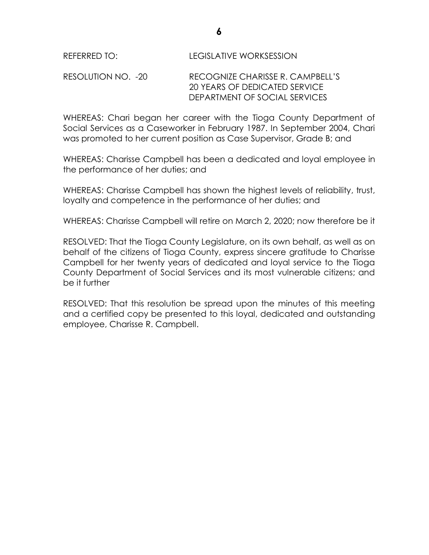## RESOLUTION NO. -20 RECOGNIZE CHARISSE R. CAMPBELL'S 20 YEARS OF DEDICATED SERVICE DEPARTMENT OF SOCIAL SERVICES

WHEREAS: Chari began her career with the Tioga County Department of Social Services as a Caseworker in February 1987. In September 2004, Chari was promoted to her current position as Case Supervisor, Grade B; and

WHEREAS: Charisse Campbell has been a dedicated and loyal employee in the performance of her duties; and

WHEREAS: Charisse Campbell has shown the highest levels of reliability, trust, loyalty and competence in the performance of her duties; and

WHEREAS: Charisse Campbell will retire on March 2, 2020; now therefore be it

RESOLVED: That the Tioga County Legislature, on its own behalf, as well as on behalf of the citizens of Tioga County, express sincere gratitude to Charisse Campbell for her twenty years of dedicated and loyal service to the Tioga County Department of Social Services and its most vulnerable citizens; and be it further

RESOLVED: That this resolution be spread upon the minutes of this meeting and a certified copy be presented to this loyal, dedicated and outstanding employee, Charisse R. Campbell.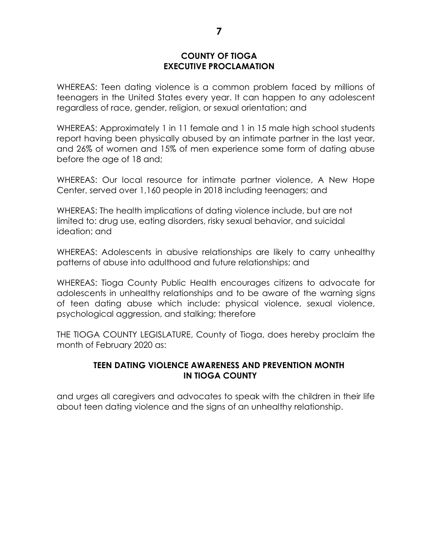#### **COUNTY OF TIOGA EXECUTIVE PROCLAMATION**

WHEREAS: Teen dating violence is a common problem faced by millions of teenagers in the United States every year. It can happen to any adolescent regardless of race, gender, religion, or sexual orientation; and

WHEREAS: Approximately 1 in 11 female and 1 in 15 male high school students report having been physically abused by an intimate partner in the last year, and 26% of women and 15% of men experience some form of dating abuse before the age of 18 and;

WHEREAS: Our local resource for intimate partner violence, A New Hope Center, served over 1,160 people in 2018 including teenagers; and

WHEREAS: The health implications of dating violence include, but are not limited to: drug use, eating disorders, risky sexual behavior, and suicidal ideation; and

WHEREAS: Adolescents in abusive relationships are likely to carry unhealthy patterns of abuse into adulthood and future relationships; and

WHEREAS: Tioga County Public Health encourages citizens to advocate for adolescents in unhealthy relationships and to be aware of the warning signs of teen dating abuse which include: physical violence, sexual violence, psychological aggression, and stalking; therefore

THE TIOGA COUNTY LEGISLATURE, County of Tioga, does hereby proclaim the month of February 2020 as:

# **TEEN DATING VIOLENCE AWARENESS AND PREVENTION MONTH IN TIOGA COUNTY**

and urges all caregivers and advocates to speak with the children in their life about teen dating violence and the signs of an unhealthy relationship.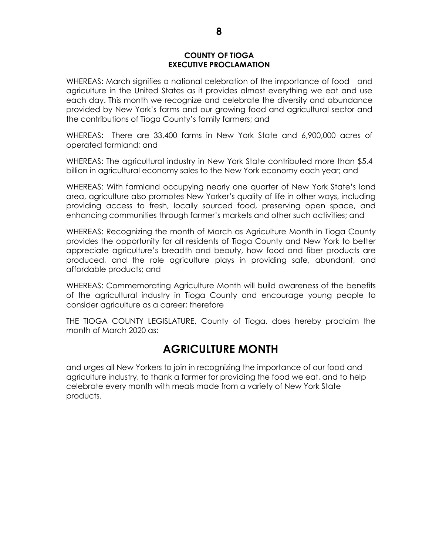#### **COUNTY OF TIOGA EXECUTIVE PROCLAMATION**

WHEREAS: March signifies a national celebration of the importance of food and agriculture in the United States as it provides almost everything we eat and use each day. This month we recognize and celebrate the diversity and abundance provided by New York's farms and our growing food and agricultural sector and the contributions of Tioga County's family farmers; and

WHEREAS: There are 33,400 farms in New York State and 6,900,000 acres of operated farmland; and

WHEREAS: The agricultural industry in New York State contributed more than \$5.4 billion in agricultural economy sales to the New York economy each year; and

WHEREAS: With farmland occupying nearly one quarter of New York State's land area, agriculture also promotes New Yorker's quality of life in other ways, including providing access to fresh, locally sourced food, preserving open space, and enhancing communities through farmer's markets and other such activities; and

WHEREAS: Recognizing the month of March as Agriculture Month in Tioga County provides the opportunity for all residents of Tioga County and New York to better appreciate agriculture's breadth and beauty, how food and fiber products are produced, and the role agriculture plays in providing safe, abundant, and affordable products; and

WHEREAS: Commemorating Agriculture Month will build awareness of the benefits of the agricultural industry in Tioga County and encourage young people to consider agriculture as a career; therefore

THE TIOGA COUNTY LEGISLATURE, County of Tioga, does hereby proclaim the month of March 2020 as:

# **AGRICULTURE MONTH**

and urges all New Yorkers to join in recognizing the importance of our food and agriculture industry, to thank a farmer for providing the food we eat, and to help celebrate every month with meals made from a variety of New York State products.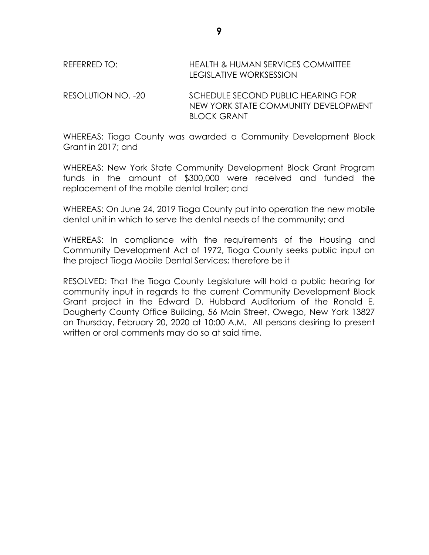# REFERRED TO: HEALTH & HUMAN SERVICES COMMITTEE LEGISLATIVE WORKSESSION

RESOLUTION NO. -20 SCHEDULE SECOND PUBLIC HEARING FOR NEW YORK STATE COMMUNITY DEVELOPMENT BLOCK GRANT

WHEREAS: Tioga County was awarded a Community Development Block Grant in 2017; and

WHEREAS: New York State Community Development Block Grant Program funds in the amount of \$300,000 were received and funded the replacement of the mobile dental trailer; and

WHEREAS: On June 24, 2019 Tioga County put into operation the new mobile dental unit in which to serve the dental needs of the community; and

WHEREAS: In compliance with the requirements of the Housing and Community Development Act of 1972, Tioga County seeks public input on the project Tioga Mobile Dental Services; therefore be it

RESOLVED: That the Tioga County Legislature will hold a public hearing for community input in regards to the current Community Development Block Grant project in the Edward D. Hubbard Auditorium of the Ronald E. Dougherty County Office Building, 56 Main Street, Owego, New York 13827 on Thursday, February 20, 2020 at 10:00 A.M. All persons desiring to present written or oral comments may do so at said time.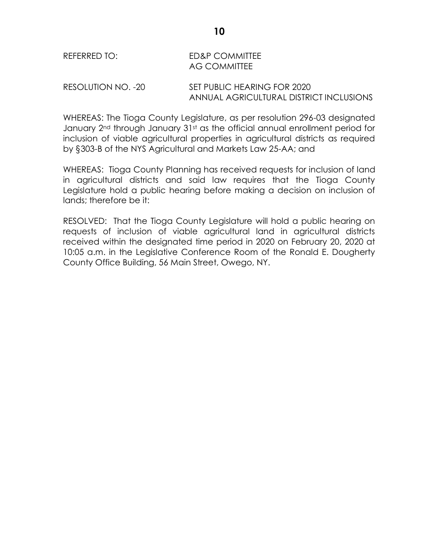#### RESOLUTION NO. -20 SET PUBLIC HEARING FOR 2020 ANNUAL AGRICULTURAL DISTRICT INCLUSIONS

WHEREAS: The Tioga County Legislature, as per resolution 296-03 designated January 2<sup>nd</sup> through January 31st as the official annual enrollment period for inclusion of viable agricultural properties in agricultural districts as required by §303-B of the NYS Agricultural and Markets Law 25-AA; and

WHEREAS: Tioga County Planning has received requests for inclusion of land in agricultural districts and said law requires that the Tioga County Legislature hold a public hearing before making a decision on inclusion of lands; therefore be it:

RESOLVED: That the Tioga County Legislature will hold a public hearing on requests of inclusion of viable agricultural land in agricultural districts received within the designated time period in 2020 on February 20, 2020 at 10:05 a.m. in the Legislative Conference Room of the Ronald E. Dougherty County Office Building, 56 Main Street, Owego, NY.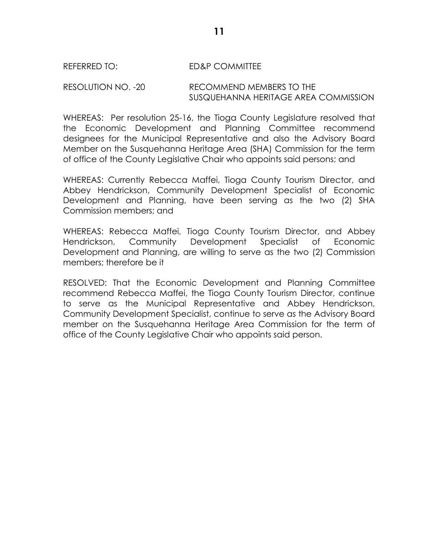#### REFERRED TO: ED&P COMMITTEE

#### RESOLUTION NO. -20 RECOMMEND MEMBERS TO THE SUSQUEHANNA HERITAGE AREA COMMISSION

WHEREAS: Per resolution 25-16, the Tioga County Legislature resolved that the Economic Development and Planning Committee recommend designees for the Municipal Representative and also the Advisory Board Member on the Susquehanna Heritage Area (SHA) Commission for the term of office of the County Legislative Chair who appoints said persons; and

WHEREAS: Currently Rebecca Maffei, Tioga County Tourism Director, and Abbey Hendrickson, Community Development Specialist of Economic Development and Planning, have been serving as the two (2) SHA Commission members; and

WHEREAS: Rebecca Maffei, Tioga County Tourism Director, and Abbey Hendrickson, Community Development Specialist of Economic Development and Planning, are willing to serve as the two (2) Commission members; therefore be it

RESOLVED: That the Economic Development and Planning Committee recommend Rebecca Maffei, the Tioga County Tourism Director, continue to serve as the Municipal Representative and Abbey Hendrickson, Community Development Specialist, continue to serve as the Advisory Board member on the Susquehanna Heritage Area Commission for the term of office of the County Legislative Chair who appoints said person.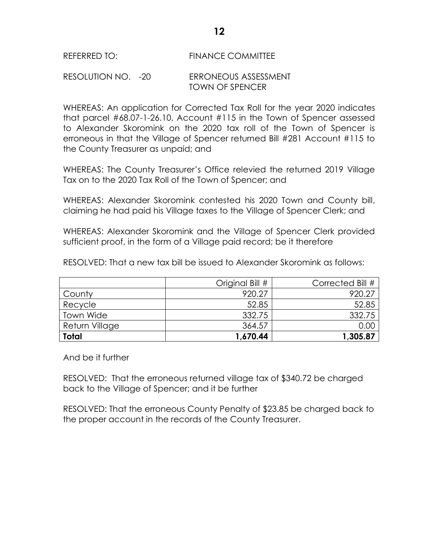#### REFERRED TO: FINANCE COMMITTEE

#### RESOLUTION NO. -20 ERRONEOUS ASSESSMENT TOWN OF SPENCER

WHEREAS: An application for Corrected Tax Roll for the year 2020 indicates that parcel #68.07-1-26.10, Account #115 in the Town of Spencer assessed to Alexander Skoromink on the 2020 tax roll of the Town of Spencer is erroneous in that the Village of Spencer returned Bill #281 Account #115 to the County Treasurer as unpaid; and

WHEREAS: The County Treasurer's Office relevied the returned 2019 Village Tax on to the 2020 Tax Roll of the Town of Spencer; and

WHEREAS: Alexander Skoromink contested his 2020 Town and County bill, claiming he had paid his Village taxes to the Village of Spencer Clerk; and

WHEREAS: Alexander Skoromink and the Village of Spencer Clerk provided sufficient proof, in the form of a Village paid record; be it therefore

RESOLVED: That a new tax bill be issued to Alexander Skoromink as follows:

|                  | Original Bill # | Corrected Bill # |
|------------------|-----------------|------------------|
| County           | 920.27          | 920.27           |
| Recycle          | 52.85           | 52.85            |
| <b>Town Wide</b> | 332.75          | 332.75           |
| Return Village   | 364.57          | 0.0C             |
| <b>Total</b>     | 1,670.44        | 1,305.87         |

And be it further

RESOLVED: That the erroneous returned village tax of \$340.72 be charged back to the Village of Spencer; and it be further

RESOLVED: That the erroneous County Penalty of \$23.85 be charged back to the proper account in the records of the County Treasurer.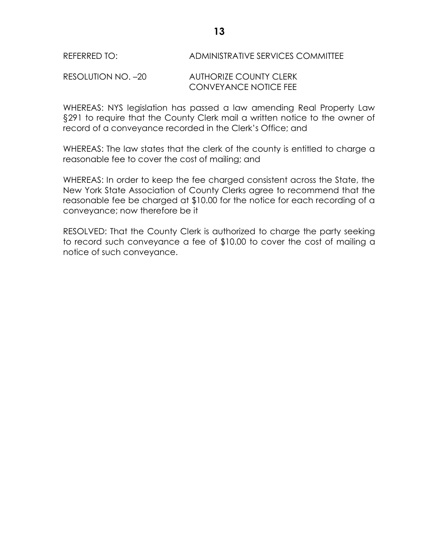## REFERRED TO: ADMINISTRATIVE SERVICES COMMITTEE

#### RESOLUTION NO. –20 AUTHORIZE COUNTY CLERK CONVEYANCE NOTICE FEE

WHEREAS: NYS legislation has passed a law amending Real Property Law §291 to require that the County Clerk mail a written notice to the owner of record of a conveyance recorded in the Clerk's Office; and

WHEREAS: The law states that the clerk of the county is entitled to charge a reasonable fee to cover the cost of mailing; and

WHEREAS: In order to keep the fee charged consistent across the State, the New York State Association of County Clerks agree to recommend that the reasonable fee be charged at \$10.00 for the notice for each recording of a conveyance; now therefore be it

RESOLVED: That the County Clerk is authorized to charge the party seeking to record such conveyance a fee of \$10.00 to cover the cost of mailing a notice of such conveyance.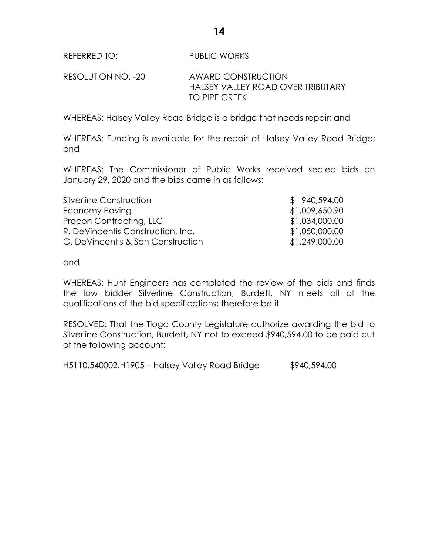REFERRED TO: PUBLIC WORKS

RESOLUTION NO. -20 AWARD CONSTRUCTION HALSEY VALLEY ROAD OVER TRIBUTARY TO PIPE CREEK

WHEREAS: Halsey Valley Road Bridge is a bridge that needs repair; and

WHEREAS: Funding is available for the repair of Halsey Valley Road Bridge; and

WHEREAS: The Commissioner of Public Works received sealed bids on January 29, 2020 and the bids came in as follows:

| Silverline Construction           | \$940,594.00   |
|-----------------------------------|----------------|
| Economy Paving                    | \$1,009,650.90 |
| Procon Contracting, LLC           | \$1,034,000.00 |
| R. DeVincentis Construction, Inc. | \$1,050,000.00 |
| G. DeVincentis & Son Construction | \$1,249,000.00 |

and

WHEREAS: Hunt Engineers has completed the review of the bids and finds the low bidder Silverline Construction, Burdett, NY meets all of the qualifications of the bid specifications; therefore be it

RESOLVED: That the Tioga County Legislature authorize awarding the bid to Silverline Construction, Burdett, NY not to exceed \$940,594.00 to be paid out of the following account:

H5110.540002.H1905 – Halsey Valley Road Bridge \$940,594.00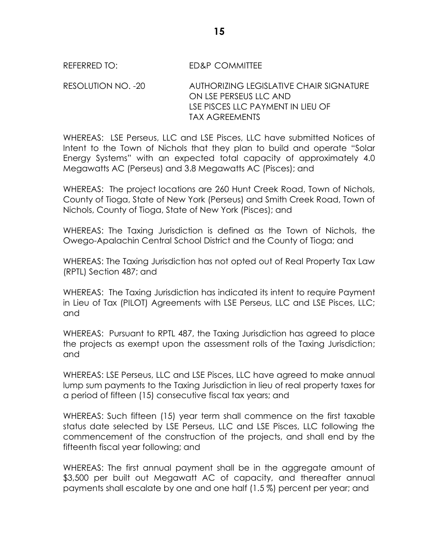REFERRED TO: ED&P COMMITTEE

RESOLUTION NO. -20 AUTHORIZING LEGISLATIVE CHAIR SIGNATURE ON LSE PERSEUS LLC AND LSE PISCES LLC PAYMENT IN LIEU OF TAX AGREEMENTS

WHEREAS: LSE Perseus, LLC and LSE Pisces, LLC have submitted Notices of Intent to the Town of Nichols that they plan to build and operate "Solar Energy Systems" with an expected total capacity of approximately 4.0 Megawatts AC (Perseus) and 3.8 Megawatts AC (Pisces); and

WHEREAS: The project locations are 260 Hunt Creek Road, Town of Nichols, County of Tioga, State of New York (Perseus) and Smith Creek Road, Town of Nichols, County of Tioga, State of New York (Pisces); and

WHEREAS: The Taxing Jurisdiction is defined as the Town of Nichols, the Owego-Apalachin Central School District and the County of Tioga; and

WHEREAS: The Taxing Jurisdiction has not opted out of Real Property Tax Law (RPTL) Section 487; and

WHEREAS: The Taxing Jurisdiction has indicated its intent to require Payment in Lieu of Tax (PILOT) Agreements with LSE Perseus, LLC and LSE Pisces, LLC; and

WHEREAS: Pursuant to RPTL 487, the Taxing Jurisdiction has agreed to place the projects as exempt upon the assessment rolls of the Taxing Jurisdiction; and

WHEREAS: LSE Perseus, LLC and LSE Pisces, LLC have agreed to make annual lump sum payments to the Taxing Jurisdiction in lieu of real property taxes for a period of fifteen (15) consecutive fiscal tax years; and

WHEREAS: Such fifteen (15) year term shall commence on the first taxable status date selected by LSE Perseus, LLC and LSE Pisces, LLC following the commencement of the construction of the projects, and shall end by the fifteenth fiscal year following; and

WHEREAS: The first annual payment shall be in the aggregate amount of \$3,500 per built out Megawatt AC of capacity, and thereafter annual payments shall escalate by one and one half (1.5 %) percent per year; and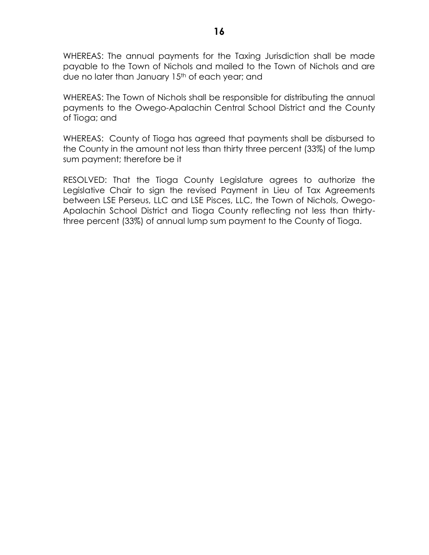WHEREAS: The annual payments for the Taxing Jurisdiction shall be made payable to the Town of Nichols and mailed to the Town of Nichols and are due no later than January 15<sup>th</sup> of each year; and

WHEREAS: The Town of Nichols shall be responsible for distributing the annual payments to the Owego-Apalachin Central School District and the County of Tioga; and

WHEREAS: County of Tioga has agreed that payments shall be disbursed to the County in the amount not less than thirty three percent (33%) of the lump sum payment; therefore be it

RESOLVED: That the Tioga County Legislature agrees to authorize the Legislative Chair to sign the revised Payment in Lieu of Tax Agreements between LSE Perseus, LLC and LSE Pisces, LLC, the Town of Nichols, Owego-Apalachin School District and Tioga County reflecting not less than thirtythree percent (33%) of annual lump sum payment to the County of Tioga.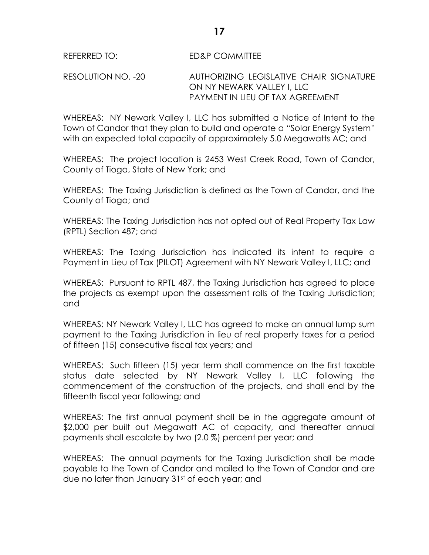# RESOLUTION NO. -20 AUTHORIZING LEGISLATIVE CHAIR SIGNATURE ON NY NEWARK VALLEY I, LLC PAYMENT IN LIEU OF TAX AGREEMENT

WHEREAS: NY Newark Valley I, LLC has submitted a Notice of Intent to the Town of Candor that they plan to build and operate a "Solar Energy System" with an expected total capacity of approximately 5.0 Megawatts AC; and

WHEREAS: The project location is 2453 West Creek Road, Town of Candor, County of Tioga, State of New York; and

WHEREAS: The Taxing Jurisdiction is defined as the Town of Candor, and the County of Tioga; and

WHEREAS: The Taxing Jurisdiction has not opted out of Real Property Tax Law (RPTL) Section 487; and

WHEREAS: The Taxing Jurisdiction has indicated its intent to require a Payment in Lieu of Tax (PILOT) Agreement with NY Newark Valley I, LLC; and

WHEREAS: Pursuant to RPTL 487, the Taxing Jurisdiction has agreed to place the projects as exempt upon the assessment rolls of the Taxing Jurisdiction; and

WHEREAS: NY Newark Valley I, LLC has agreed to make an annual lump sum payment to the Taxing Jurisdiction in lieu of real property taxes for a period of fifteen (15) consecutive fiscal tax years; and

WHEREAS: Such fifteen (15) year term shall commence on the first taxable status date selected by NY Newark Valley I, LLC following the commencement of the construction of the projects, and shall end by the fifteenth fiscal year following; and

WHEREAS: The first annual payment shall be in the aggregate amount of \$2,000 per built out Megawatt AC of capacity, and thereafter annual payments shall escalate by two (2.0 %) percent per year; and

WHEREAS: The annual payments for the Taxing Jurisdiction shall be made payable to the Town of Candor and mailed to the Town of Candor and are due no later than January 31st of each year; and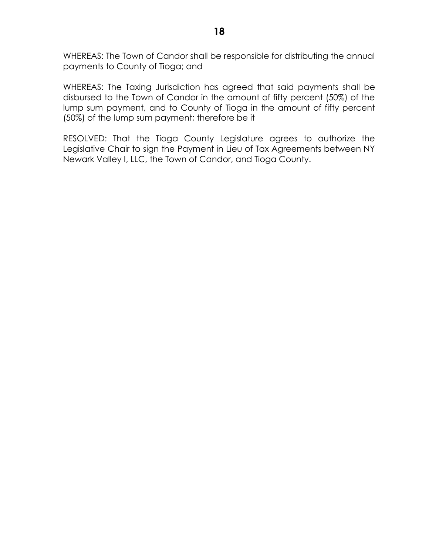WHEREAS: The Town of Candor shall be responsible for distributing the annual payments to County of Tioga; and

WHEREAS: The Taxing Jurisdiction has agreed that said payments shall be disbursed to the Town of Candor in the amount of fifty percent (50%) of the lump sum payment, and to County of Tioga in the amount of fifty percent (50%) of the lump sum payment; therefore be it

RESOLVED: That the Tioga County Legislature agrees to authorize the Legislative Chair to sign the Payment in Lieu of Tax Agreements between NY Newark Valley I, LLC, the Town of Candor, and Tioga County.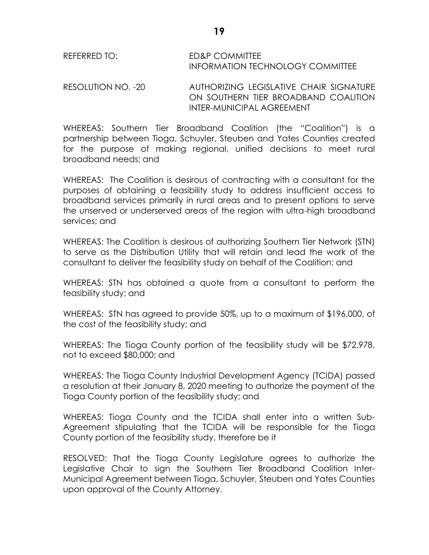REFERRED TO: ED&P COMMITTEE INFORMATION TECHNOLOGY COMMITTEE

RESOLUTION NO. -20 AUTHORIZING LEGISLATIVE CHAIR SIGNATURE ON SOUTHERN TIER BROADBAND COALITION INTER-MUNICIPAL AGREEMENT

WHEREAS: Southern Tier Broadband Coalition (the "Coalition") is a partnership between Tioga, Schuyler, Steuben and Yates Counties created for the purpose of making regional, unified decisions to meet rural broadband needs; and

WHEREAS: The Coalition is desirous of contracting with a consultant for the purposes of obtaining a feasibility study to address insufficient access to broadband services primarily in rural areas and to present options to serve the unserved or underserved areas of the region with ultra-high broadband services; and

WHEREAS: The Coalition is desirous of authorizing Southern Tier Network (STN) to serve as the Distribution Utility that will retain and lead the work of the consultant to deliver the feasibility study on behalf of the Coalition; and

WHEREAS: STN has obtained a quote from a consultant to perform the feasibility study; and

WHEREAS: STN has agreed to provide 50%, up to a maximum of \$196,000, of the cost of the feasibility study; and

WHEREAS: The Tioga County portion of the feasibility study will be \$72,978, not to exceed \$80,000; and

WHEREAS: The Tioga County Industrial Development Agency (TCIDA) passed a resolution at their January 8, 2020 meeting to authorize the payment of the Tioga County portion of the feasibility study; and

WHEREAS: Tioga County and the TCIDA shall enter into a written Sub-Agreement stipulating that the TCIDA will be responsible for the Tioga County portion of the feasibility study, therefore be it

RESOLVED: That the Tioga County Legislature agrees to authorize the Legislative Chair to sign the Southern Tier Broadband Coalition Inter-Municipal Agreement between Tioga, Schuyler, Steuben and Yates Counties upon approval of the County Attorney.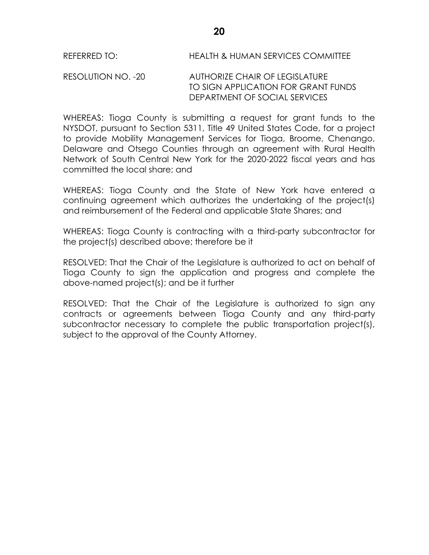RESOLUTION NO. -20 AUTHORIZE CHAIR OF LEGISLATURE TO SIGN APPLICATION FOR GRANT FUNDS DEPARTMENT OF SOCIAL SERVICES

WHEREAS: Tioga County is submitting a request for grant funds to the NYSDOT, pursuant to Section 5311, Title 49 United States Code, for a project to provide Mobility Management Services for Tioga, Broome, Chenango, Delaware and Otsego Counties through an agreement with Rural Health Network of South Central New York for the 2020-2022 fiscal years and has committed the local share; and

WHEREAS: Tioga County and the State of New York have entered a continuing agreement which authorizes the undertaking of the project(s) and reimbursement of the Federal and applicable State Shares; and

WHEREAS: Tioga County is contracting with a third-party subcontractor for the project(s) described above; therefore be it

RESOLVED: That the Chair of the Legislature is authorized to act on behalf of Tioga County to sign the application and progress and complete the above-named project(s); and be it further

RESOLVED: That the Chair of the Legislature is authorized to sign any contracts or agreements between Tioga County and any third-party subcontractor necessary to complete the public transportation project(s), subject to the approval of the County Attorney.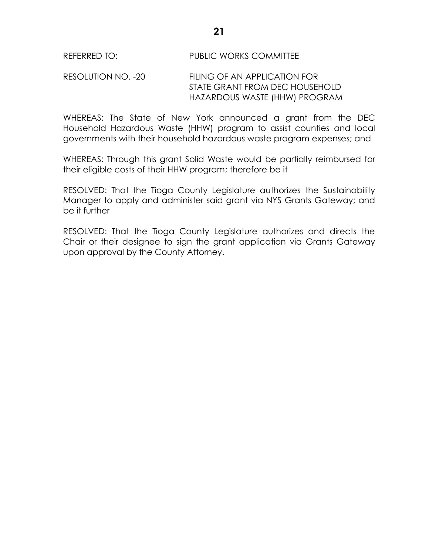#### REFERRED TO: PUBLIC WORKS COMMITTEE

#### RESOLUTION NO. -20 FILING OF AN APPLICATION FOR STATE GRANT FROM DEC HOUSEHOLD HAZARDOUS WASTE (HHW) PROGRAM

WHEREAS: The State of New York announced a grant from the DEC Household Hazardous Waste (HHW) program to assist counties and local governments with their household hazardous waste program expenses; and

WHEREAS: Through this grant Solid Waste would be partially reimbursed for their eligible costs of their HHW program; therefore be it

RESOLVED: That the Tioga County Legislature authorizes the Sustainability Manager to apply and administer said grant via NYS Grants Gateway; and be it further

RESOLVED: That the Tioga County Legislature authorizes and directs the Chair or their designee to sign the grant application via Grants Gateway upon approval by the County Attorney.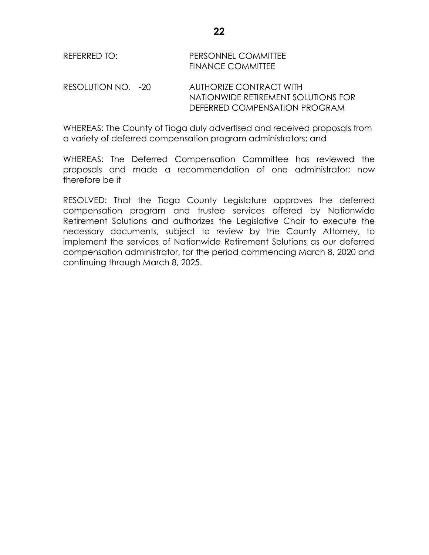| REFERRED TO: | PERSONNEL COMMITTEE      |
|--------------|--------------------------|
|              | <b>FINANCE COMMITTEE</b> |
|              |                          |

RESOLUTION NO. -20 AUTHORIZE CONTRACT WITH NATIONWIDE RETIREMENT SOLUTIONS FOR DEFERRED COMPENSATION PROGRAM

WHEREAS: The County of Tioga duly advertised and received proposals from a variety of deferred compensation program administrators; and

WHEREAS: The Deferred Compensation Committee has reviewed the proposals and made a recommendation of one administrator; now therefore be it

RESOLVED: That the Tioga County Legislature approves the deferred compensation program and trustee services offered by Nationwide Retirement Solutions and authorizes the Legislative Chair to execute the necessary documents, subject to review by the County Attorney, to implement the services of Nationwide Retirement Solutions as our deferred compensation administrator, for the period commencing March 8, 2020 and continuing through March 8, 2025.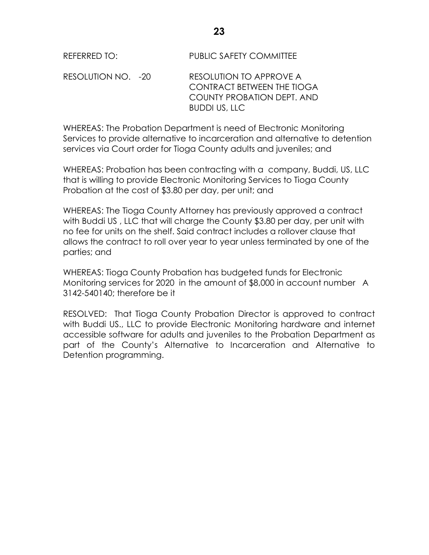RESOLUTION NO. -20 RESOLUTION TO APPROVE A CONTRACT BETWEEN THE TIOGA COUNTY PROBATION DEPT. AND BUDDI US, LLC

WHEREAS: The Probation Department is need of Electronic Monitoring Services to provide alternative to incarceration and alternative to detention services via Court order for Tioga County adults and juveniles; and

WHEREAS: Probation has been contracting with a company, Buddi, US, LLC that is willing to provide Electronic Monitoring Services to Tioga County Probation at the cost of \$3.80 per day, per unit; and

WHEREAS: The Tioga County Attorney has previously approved a contract with Buddi US , LLC that will charge the County \$3.80 per day, per unit with no fee for units on the shelf. Said contract includes a rollover clause that allows the contract to roll over year to year unless terminated by one of the parties; and

WHEREAS: Tioga County Probation has budgeted funds for Electronic Monitoring services for 2020 in the amount of \$8,000 in account number A 3142-540140; therefore be it

RESOLVED: That Tioga County Probation Director is approved to contract with Buddi US., LLC to provide Electronic Monitoring hardware and internet accessible software for adults and juveniles to the Probation Department as part of the County's Alternative to Incarceration and Alternative to Detention programming.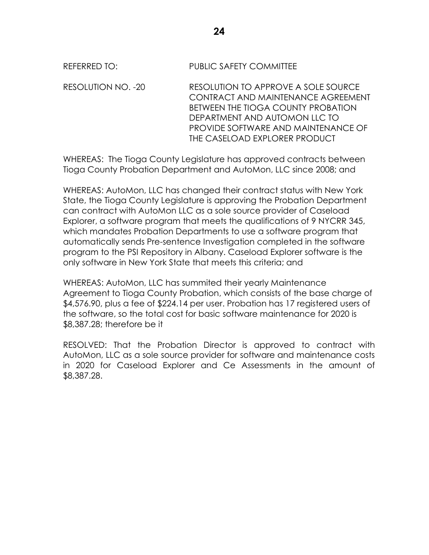REFERRED TO: PUBLIC SAFETY COMMITTEE

RESOLUTION NO. -20 RESOLUTION TO APPROVE A SOLE SOURCE CONTRACT AND MAINTENANCE AGREEMENT BETWEEN THE TIOGA COUNTY PROBATION DEPARTMENT AND AUTOMON LLC TO PROVIDE SOFTWARE AND MAINTENANCE OF THE CASELOAD EXPLORER PRODUCT

WHEREAS: The Tioga County Legislature has approved contracts between Tioga County Probation Department and AutoMon, LLC since 2008; and

WHEREAS: AutoMon, LLC has changed their contract status with New York State, the Tioga County Legislature is approving the Probation Department can contract with AutoMon LLC as a sole source provider of Caseload Explorer, a software program that meets the qualifications of 9 NYCRR 345, which mandates Probation Departments to use a software program that automatically sends Pre-sentence Investigation completed in the software program to the PSI Repository in Albany. Caseload Explorer software is the only software in New York State that meets this criteria; and

WHEREAS: AutoMon, LLC has summited their yearly Maintenance Agreement to Tioga County Probation, which consists of the base charge of \$4,576.90, plus a fee of \$224.14 per user. Probation has 17 registered users of the software, so the total cost for basic software maintenance for 2020 is \$8,387.28; therefore be it

RESOLVED: That the Probation Director is approved to contract with AutoMon, LLC as a sole source provider for software and maintenance costs in 2020 for Caseload Explorer and Ce Assessments in the amount of \$8,387.28.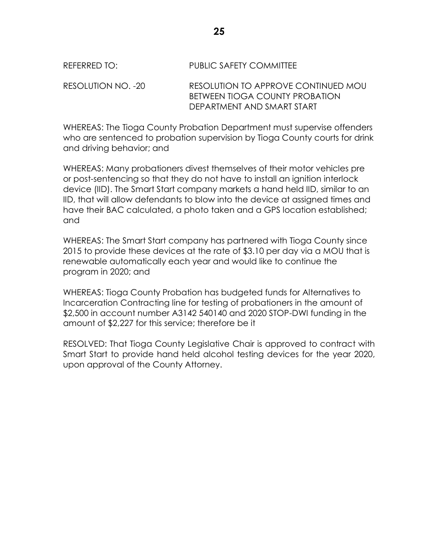| REFERRED TO:       | PUBLIC SAFETY COMMITTEE                                                                             |
|--------------------|-----------------------------------------------------------------------------------------------------|
| RESOLUTION NO. -20 | RESOLUTION TO APPROVE CONTINUED MOU<br>BETWEEN TIOGA COUNTY PROBATION<br>DEPARTMENT AND SMART START |

WHEREAS: The Tioga County Probation Department must supervise offenders who are sentenced to probation supervision by Tioga County courts for drink and driving behavior; and

WHEREAS: Many probationers divest themselves of their motor vehicles pre or post-sentencing so that they do not have to install an ignition interlock device (IID). The Smart Start company markets a hand held IID, similar to an IID, that will allow defendants to blow into the device at assigned times and have their BAC calculated, a photo taken and a GPS location established; and

WHEREAS: The Smart Start company has partnered with Tioga County since 2015 to provide these devices at the rate of \$3.10 per day via a MOU that is renewable automatically each year and would like to continue the program in 2020; and

WHEREAS: Tioga County Probation has budgeted funds for Alternatives to Incarceration Contracting line for testing of probationers in the amount of \$2,500 in account number A3142 540140 and 2020 STOP-DWI funding in the amount of \$2,227 for this service; therefore be it

RESOLVED: That Tioga County Legislative Chair is approved to contract with Smart Start to provide hand held alcohol testing devices for the year 2020, upon approval of the County Attorney.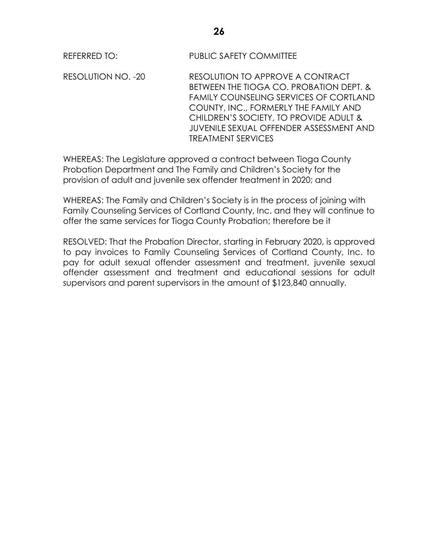REFERRED TO: PUBLIC SAFETY COMMITTEE

RESOLUTION NO. -20 RESOLUTION TO APPROVE A CONTRACT BETWEEN THE TIOGA CO. PROBATION DEPT. & FAMILY COUNSELING SERVICES OF CORTLAND COUNTY, INC., FORMERLY THE FAMILY AND CHILDREN'S SOCIETY, TO PROVIDE ADULT & JUVENILE SEXUAL OFFENDER ASSESSMENT AND TREATMENT SERVICES

WHEREAS: The Legislature approved a contract between Tioga County Probation Department and The Family and Children's Society for the provision of adult and juvenile sex offender treatment in 2020; and

WHEREAS: The Family and Children's Society is in the process of joining with Family Counseling Services of Cortland County, Inc. and they will continue to offer the same services for Tioga County Probation; therefore be it

RESOLVED: That the Probation Director, starting in February 2020, is approved to pay invoices to Family Counseling Services of Cortland County, Inc. to pay for adult sexual offender assessment and treatment, juvenile sexual offender assessment and treatment and educational sessions for adult supervisors and parent supervisors in the amount of \$123,840 annually.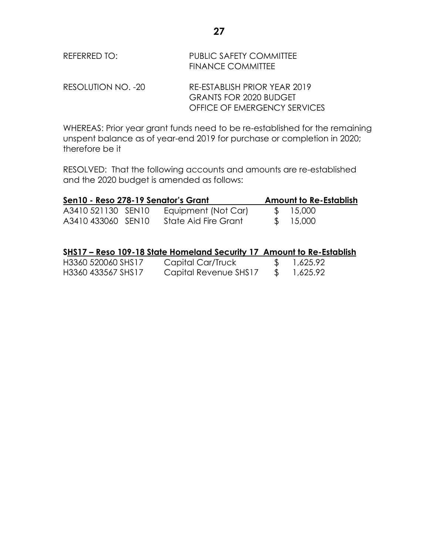| REFERRED TO:       | <b>PUBLIC SAFETY COMMITTEE</b><br>FINANCE COMMITTEE |
|--------------------|-----------------------------------------------------|
| RESOLUTION NO. -20 | RE-ESTABLISH PRIOR YEAR 2019                        |
|                    | <b>GRANTS FOR 2020 BUDGET</b>                       |
|                    | OFFICE OF EMERGENCY SERVICES                        |

WHEREAS: Prior year grant funds need to be re-established for the remaining unspent balance as of year-end 2019 for purchase or completion in 2020; therefore be it

RESOLVED: That the following accounts and amounts are re-established and the 2020 budget is amended as follows:

| Sen10 - Reso 278-19 Senator's Grant      |  |                                             | <b>Amount to Re-Establish</b> |  |
|------------------------------------------|--|---------------------------------------------|-------------------------------|--|
| A3410 521130 SEN10<br>A3410 433060 SEN10 |  | Equipment (Not Car)<br>State Aid Fire Grant | \$ 15,000<br>\$15,000         |  |
|                                          |  |                                             |                               |  |

|                    | SHS17 – Reso 109-18 State Homeland Security 17 Amount to Re-Establish |          |  |
|--------------------|-----------------------------------------------------------------------|----------|--|
| H3360 520060 SHS17 | Capital Car/Truck                                                     | 1,625.92 |  |
| H3360 433567 SHS17 | Capital Revenue SHS17                                                 | 1,625.92 |  |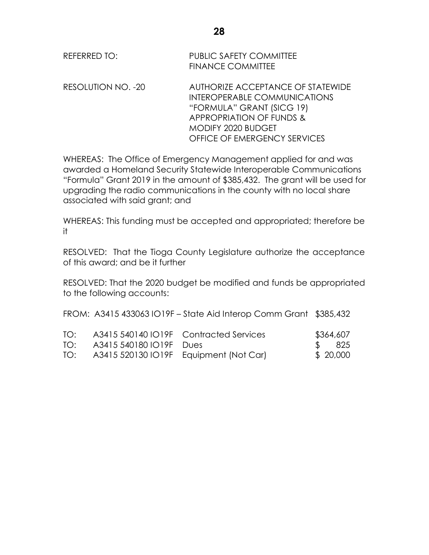| REFERRED TO: | PUBLIC SAFETY COMMITTEE  |
|--------------|--------------------------|
|              | <b>FINANCE COMMITTEE</b> |

RESOLUTION NO. -20 AUTHORIZE ACCEPTANCE OF STATEWIDE INTEROPERABLE COMMUNICATIONS "FORMULA" GRANT (SICG 19) APPROPRIATION OF FUNDS & MODIFY 2020 BUDGET OFFICE OF EMERGENCY SERVICES

WHEREAS: The Office of Emergency Management applied for and was awarded a Homeland Security Statewide Interoperable Communications "Formula" Grant 2019 in the amount of \$385,432. The grant will be used for upgrading the radio communications in the county with no local share associated with said grant; and

WHEREAS: This funding must be accepted and appropriated; therefore be it

RESOLVED: That the Tioga County Legislature authorize the acceptance of this award; and be it further

RESOLVED: That the 2020 budget be modified and funds be appropriated to the following accounts:

FROM: A3415 433063 IO19F – State Aid Interop Comm Grant \$385,432

| TO: | A3415 540140 IO19F Contracted Services     | \$364,607 |
|-----|--------------------------------------------|-----------|
|     | TO: A3415 540180 IO19F Dues                | \$ 825    |
|     | TO: A3415 520130 IO19F Equipment (Not Car) | \$ 20,000 |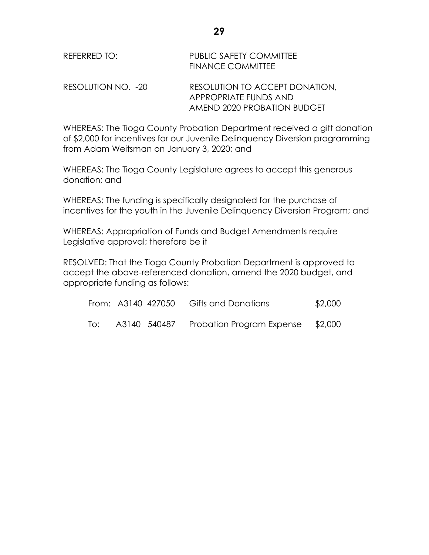| REFERRED TO:       | <b>PUBLIC SAFETY COMMITTEE</b><br><b>FINANCE COMMITTEE</b> |
|--------------------|------------------------------------------------------------|
| RESOLUTION NO. -20 | RESOLUTION TO ACCEPT DONATION.<br>APPROPRIATE FUNDS AND    |
|                    | AMEND 2020 PROBATION BUDGET                                |

WHEREAS: The Tioga County Probation Department received a gift donation of \$2,000 for incentives for our Juvenile Delinquency Diversion programming from Adam Weitsman on January 3, 2020; and

WHEREAS: The Tioga County Legislature agrees to accept this generous donation; and

WHEREAS: The funding is specifically designated for the purchase of incentives for the youth in the Juvenile Delinquency Diversion Program; and

WHEREAS: Appropriation of Funds and Budget Amendments require Legislative approval; therefore be it

RESOLVED: That the Tioga County Probation Department is approved to accept the above-referenced donation, amend the 2020 budget, and appropriate funding as follows:

|     |  | From: A3140 427050 Gifts and Donations | \$2,000 |
|-----|--|----------------------------------------|---------|
| To: |  | A3140 540487 Probation Program Expense | \$2,000 |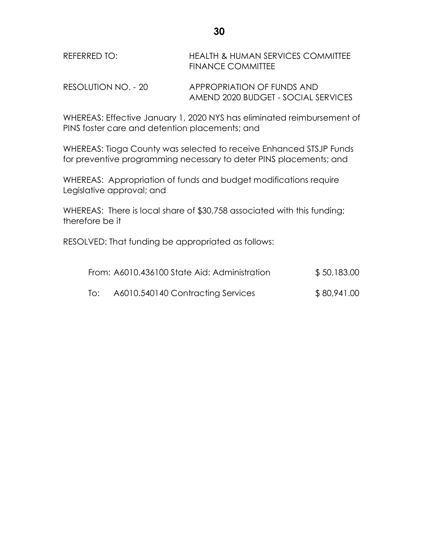| REFERRED TO: | <b>HEALTH &amp; HUMAN SERVICES COMMITTEE</b> |
|--------------|----------------------------------------------|
|              | <b>FINANCE COMMITTEE</b>                     |
|              |                                              |

RESOLUTION NO. - 20 APPROPRIATION OF FUNDS AND AMEND 2020 BUDGET - SOCIAL SERVICES

WHEREAS: Effective January 1, 2020 NYS has eliminated reimbursement of PINS foster care and detention placements; and

WHEREAS: Tioga County was selected to receive Enhanced STSJP Funds for preventive programming necessary to deter PINS placements; and

WHEREAS: Appropriation of funds and budget modifications require Legislative approval; and

WHEREAS: There is local share of \$30,758 associated with this funding; therefore be it

RESOLVED: That funding be appropriated as follows:

|     | From: A6010.436100 State Aid: Administration | \$50,183.00 |
|-----|----------------------------------------------|-------------|
| To: | A6010.540140 Contracting Services            | \$80,941.00 |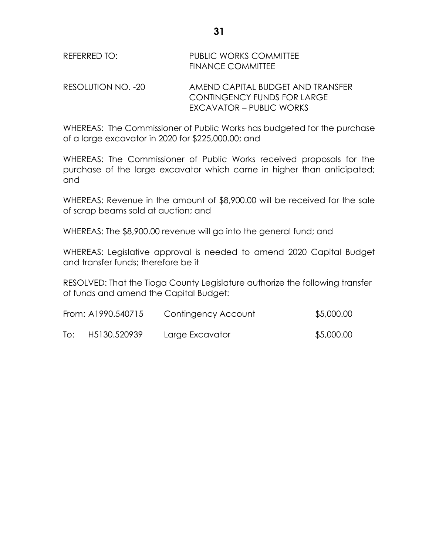| REFERRED TO:       | <b>PUBLIC WORKS COMMITTEE</b><br>FINANCE COMMITTEE                      |
|--------------------|-------------------------------------------------------------------------|
| RESOLUTION NO. -20 | AMEND CAPITAL BUDGET AND TRANSFER<br><b>CONTINGENCY FUNDS FOR LARGE</b> |

WHEREAS: The Commissioner of Public Works has budgeted for the purchase of a large excavator in 2020 for \$225,000.00; and

EXCAVATOR – PUBLIC WORKS

WHEREAS: The Commissioner of Public Works received proposals for the purchase of the large excavator which came in higher than anticipated; and

WHEREAS: Revenue in the amount of \$8,900.00 will be received for the sale of scrap beams sold at auction; and

WHEREAS: The \$8,900.00 revenue will go into the general fund; and

WHEREAS: Legislative approval is needed to amend 2020 Capital Budget and transfer funds; therefore be it

RESOLVED: That the Tioga County Legislature authorize the following transfer of funds and amend the Capital Budget:

|     | From: A1990.540715 | Contingency Account | \$5,000.00 |
|-----|--------------------|---------------------|------------|
| To: | H5130.520939       | Large Excavator     | \$5,000.00 |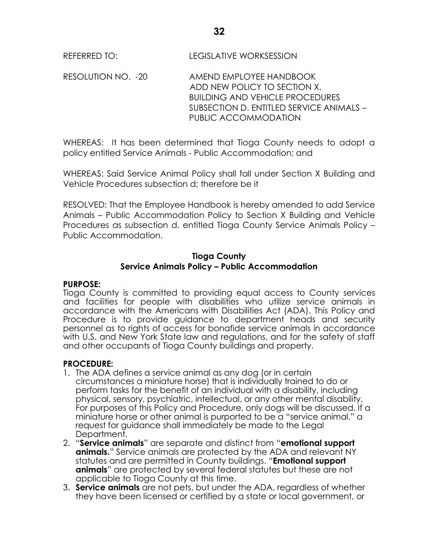RESOLUTION NO. -20 AMEND EMPLOYEE HANDBOOK ADD NEW POLICY TO SECTION X. BUILDING AND VEHICLE PROCEDURES SUBSECTION D. ENTITLED SERVICE ANIMALS – PUBLIC ACCOMMODATION

WHEREAS: It has been determined that Tioga County needs to adopt a policy entitled Service Animals - Public Accommodation; and

WHEREAS: Said Service Animal Policy shall fall under Section X Building and Vehicle Procedures subsection d; therefore be it

RESOLVED: That the Employee Handbook is hereby amended to add Service Animals – Public Accommodation Policy to Section X Building and Vehicle Procedures as subsection d. entitled Tioga County Service Animals Policy – Public Accommodation.

## **Tioga County Service Animals Policy – Public Accommodation**

#### **PURPOSE:**

Tioga County is committed to providing equal access to County services and facilities for people with disabilities who utilize service animals in accordance with the Americans with Disabilities Act (ADA). This Policy and Procedure is to provide guidance to department heads and security personnel as to rights of access for bonafide service animals in accordance with U.S. and New York State law and regulations, and for the safety of staff and other occupants of Tioga County buildings and property.

# **PROCEDURE:**

- 1. The ADA defines a service animal as any dog (or in certain circumstances a miniature horse) that is individually trained to do or perform tasks for the benefit of an individual with a disability, including physical, sensory, psychiatric, intellectual, or any other mental disability. For purposes of this Policy and Procedure, only dogs will be discussed. If a miniature horse or other animal is purported to be a "service animal," a request for guidance shall immediately be made to the Legal Department.
- 2. "**Service animals**" are separate and distinct from "**emotional support animals.**" Service animals are protected by the ADA and relevant NY statutes and are permitted in County buildings. "**Emotional support animals**" are protected by several federal statutes but these are not applicable to Tioga County at this time.
- 3. **Service animals** are not pets, but under the ADA, regardless of whether they have been licensed or certified by a state or local government, or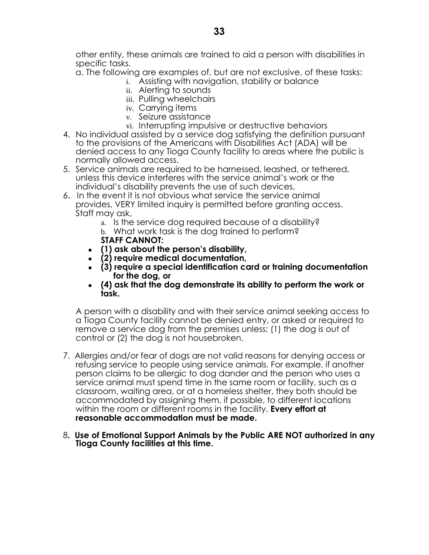other entity, these animals are trained to aid a person with disabilities in specific tasks.

a. The following are examples of, but are not exclusive, of these tasks:

- i. Assisting with navigation, stability or balance
	- ii. Alerting to sounds
	- iii. Pulling wheelchairs
	- iv. Carrying items
	- v. Seizure assistance
- vi. Interrupting impulsive or destructive behaviors
- 4. No individual assisted by a service dog satisfying the definition pursuant to the provisions of the Americans with Disabilities Act (ADA) will be denied access to any Tioga County facility to areas where the public is normally allowed access.
- 5. Service animals are required to be harnessed, leashed, or tethered, unless this device interferes with the service animal's work or the individual's disability prevents the use of such devices.
- 6. In the event it is not obvious what service the service animal provides, VERY limited inquiry is permitted before granting access. Staff may ask,
	- a. Is the service dog required because of a disability? b. What work task is the dog trained to perform? **STAFF CANNOT:**
	- **(1) ask about the person's disability,**
	- **(2) require medical documentation,**
	- **(3) require a special identification card or training documentation for the dog, or**
	- **(4) ask that the dog demonstrate its ability to perform the work or task.**

A person with a disability and with their service animal seeking access to a Tioga County facility cannot be denied entry, or asked or required to remove a service dog from the premises unless: (1) the dog is out of control or (2) the dog is not housebroken.

- 7.Allergies and/or fear of dogs are not valid reasons for denying access or refusing service to people using service animals. For example, if another person claims to be allergic to dog dander and the person who uses a service animal must spend time in the same room or facility, such as a classroom, waiting area, or at a homeless shelter, they both should be accommodated by assigning them, if possible, to different locations within the room or different rooms in the facility. **Every effort at reasonable accommodation must be made.**
- 8**. Use of Emotional Support Animals by the Public ARE NOT authorized in any Tioga County facilities at this time.**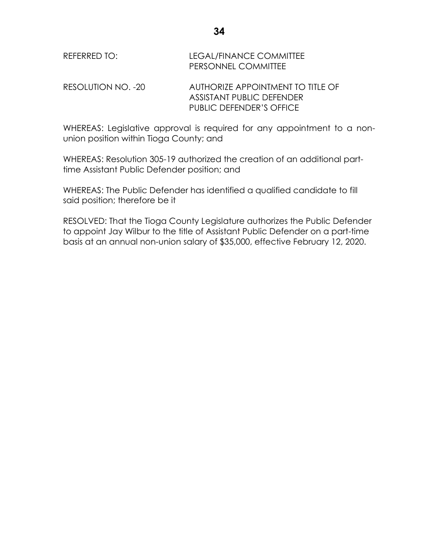| REFERRED TO:       | LEGAL/FINANCE COMMITTEE<br>PERSONNEL COMMITTEE |
|--------------------|------------------------------------------------|
| RESOLUTION NO. -20 | AUTHORIZE APPOINTMENT TO TITLE OF              |
|                    | <b>ASSISTANT PUBLIC DEFENDER</b>               |
|                    | PUBLIC DEFENDER'S OFFICE                       |

WHEREAS: Legislative approval is required for any appointment to a nonunion position within Tioga County; and

WHEREAS: Resolution 305-19 authorized the creation of an additional parttime Assistant Public Defender position; and

WHEREAS: The Public Defender has identified a qualified candidate to fill said position; therefore be it

RESOLVED: That the Tioga County Legislature authorizes the Public Defender to appoint Jay Wilbur to the title of Assistant Public Defender on a part-time basis at an annual non-union salary of \$35,000, effective February 12, 2020.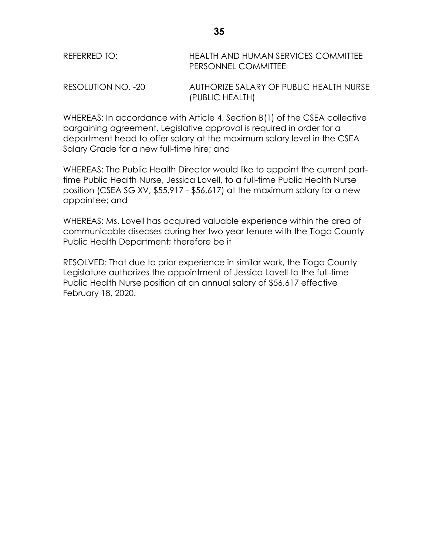| REFERRED TO:       | HEALTH AND HUMAN SERVICES COMMITTEE<br><b>PERSONNEL COMMITTEE</b> |
|--------------------|-------------------------------------------------------------------|
| RESOLUTION NO. -20 | AUTHORIZE SALARY OF PUBLIC HEALTH NURSE                           |

(PUBLIC HEALTH)

WHEREAS: In accordance with Article 4, Section B(1) of the CSEA collective bargaining agreement, Legislative approval is required in order for a department head to offer salary at the maximum salary level in the CSEA Salary Grade for a new full-time hire; and

WHEREAS: The Public Health Director would like to appoint the current parttime Public Health Nurse, Jessica Lovell, to a full-time Public Health Nurse position (CSEA SG XV, \$55,917 - \$56,617) at the maximum salary for a new appointee; and

WHEREAS: Ms. Lovell has acquired valuable experience within the area of communicable diseases during her two year tenure with the Tioga County Public Health Department; therefore be it

RESOLVED: That due to prior experience in similar work, the Tioga County Legislature authorizes the appointment of Jessica Lovell to the full-time Public Health Nurse position at an annual salary of \$56,617 effective February 18, 2020.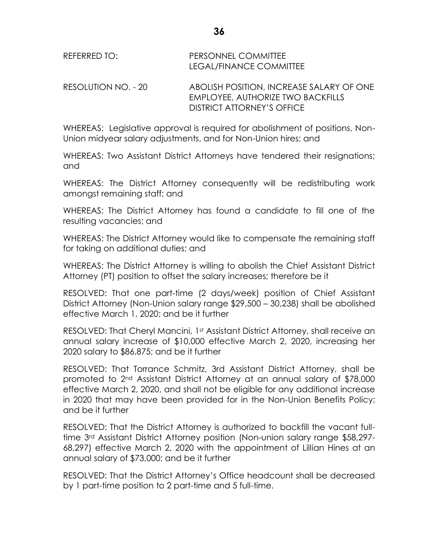| REFERRED TO: | <b>PERSONNEL COMMITTEE</b><br>LEGAL/FINANCE COMMITTEE |
|--------------|-------------------------------------------------------|
| DFCOMIITIONI | A DOUCH DOCITION IN IODEA CE CAL                      |

RESOLUTION NO. - 20 ABOLISH POSITION, INCREASE SALARY OF ONE EMPLOYEE, AUTHORIZE TWO BACKFILLS DISTRICT ATTORNEY'S OFFICE

WHEREAS: Legislative approval is required for abolishment of positions, Non-Union midyear salary adjustments, and for Non-Union hires; and

WHEREAS: Two Assistant District Attorneys have tendered their resignations; and

WHEREAS: The District Attorney consequently will be redistributing work amongst remaining staff; and

WHEREAS: The District Attorney has found a candidate to fill one of the resulting vacancies; and

WHEREAS: The District Attorney would like to compensate the remaining staff for taking on additional duties; and

WHEREAS: The District Attorney is willing to abolish the Chief Assistant District Attorney (PT) position to offset the salary increases; therefore be it

RESOLVED: That one part-time (2 days/week) position of Chief Assistant District Attorney (Non-Union salary range \$29,500 – 30,238) shall be abolished effective March 1, 2020; and be it further

RESOLVED: That Cheryl Mancini, 1st Assistant District Attorney, shall receive an annual salary increase of \$10,000 effective March 2, 2020, increasing her 2020 salary to \$86,875; and be it further

RESOLVED: That Torrance Schmitz, 3rd Assistant District Attorney, shall be promoted to 2nd Assistant District Attorney at an annual salary of \$78,000 effective March 2, 2020, and shall not be eligible for any additional increase in 2020 that may have been provided for in the Non-Union Benefits Policy; and be it further

RESOLVED: That the District Attorney is authorized to backfill the vacant fulltime 3rd Assistant District Attorney position (Non-union salary range \$58,297- 68,297) effective March 2, 2020 with the appointment of Lillian Hines at an annual salary of \$73,000; and be it further

RESOLVED: That the District Attorney's Office headcount shall be decreased by 1 part-time position to 2 part-time and 5 full-time.